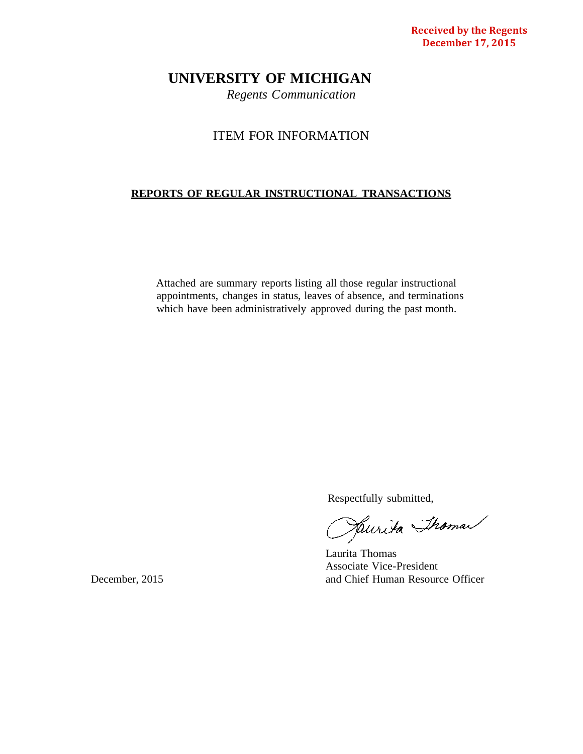**Received by the Regents December 17, 2015**

# **UNIVERSITY OF MICHIGAN**

*Regents Communication*

## ITEM FOR INFORMATION

# **REPORTS OF REGULAR INSTRUCTIONAL TRANSACTIONS**

Attached are summary reports listing all those regular instructional appointments, changes in status, leaves of absence, and terminations which have been administratively approved during the past month.

Respectfully submitted,<br>Julie Thomas

Laurita Thomas Associate Vice-President December, 2015 and Chief Human Resource Officer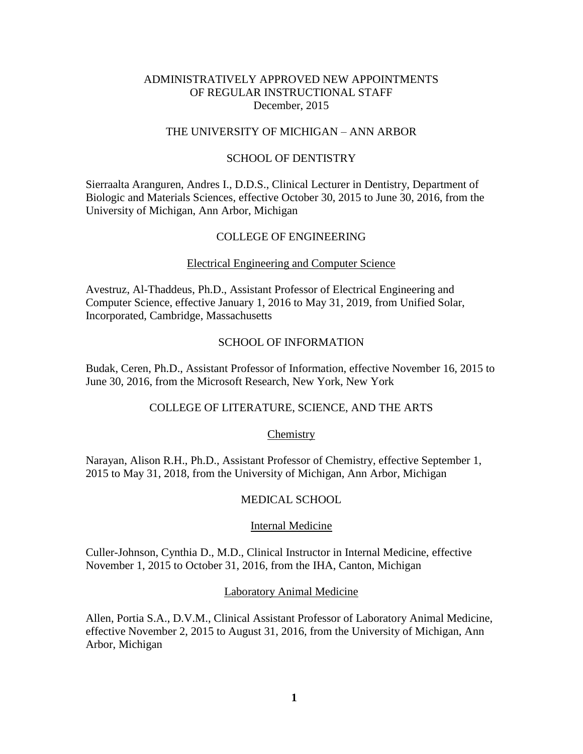## ADMINISTRATIVELY APPROVED NEW APPOINTMENTS OF REGULAR INSTRUCTIONAL STAFF December, 2015

## THE UNIVERSITY OF MICHIGAN – ANN ARBOR

## SCHOOL OF DENTISTRY

Sierraalta Aranguren, Andres I., D.D.S., Clinical Lecturer in Dentistry, Department of Biologic and Materials Sciences, effective October 30, 2015 to June 30, 2016, from the University of Michigan, Ann Arbor, Michigan

### COLLEGE OF ENGINEERING

#### Electrical Engineering and Computer Science

Avestruz, Al-Thaddeus, Ph.D., Assistant Professor of Electrical Engineering and Computer Science, effective January 1, 2016 to May 31, 2019, from Unified Solar, Incorporated, Cambridge, Massachusetts

### SCHOOL OF INFORMATION

Budak, Ceren, Ph.D., Assistant Professor of Information, effective November 16, 2015 to June 30, 2016, from the Microsoft Research, New York, New York

## COLLEGE OF LITERATURE, SCIENCE, AND THE ARTS

#### Chemistry

Narayan, Alison R.H., Ph.D., Assistant Professor of Chemistry, effective September 1, 2015 to May 31, 2018, from the University of Michigan, Ann Arbor, Michigan

## MEDICAL SCHOOL

#### Internal Medicine

Culler-Johnson, Cynthia D., M.D., Clinical Instructor in Internal Medicine, effective November 1, 2015 to October 31, 2016, from the IHA, Canton, Michigan

## Laboratory Animal Medicine

Allen, Portia S.A., D.V.M., Clinical Assistant Professor of Laboratory Animal Medicine, effective November 2, 2015 to August 31, 2016, from the University of Michigan, Ann Arbor, Michigan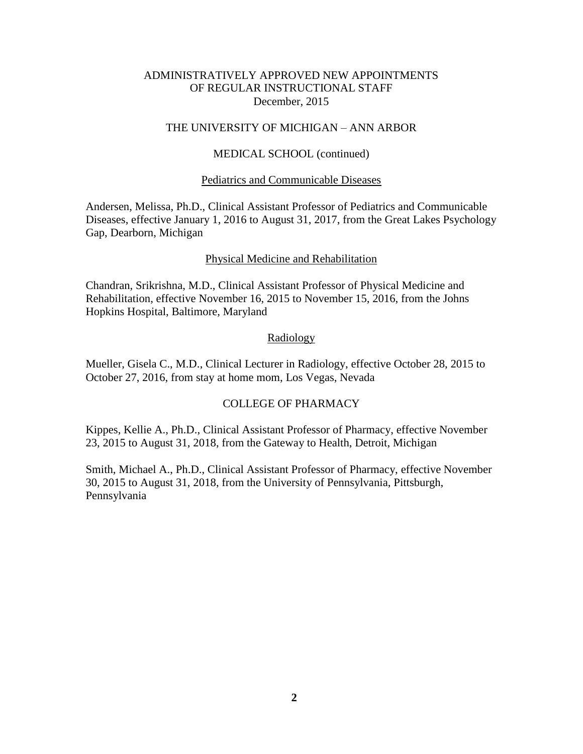## ADMINISTRATIVELY APPROVED NEW APPOINTMENTS OF REGULAR INSTRUCTIONAL STAFF December, 2015

## THE UNIVERSITY OF MICHIGAN – ANN ARBOR

## MEDICAL SCHOOL (continued)

### Pediatrics and Communicable Diseases

Andersen, Melissa, Ph.D., Clinical Assistant Professor of Pediatrics and Communicable Diseases, effective January 1, 2016 to August 31, 2017, from the Great Lakes Psychology Gap, Dearborn, Michigan

## Physical Medicine and Rehabilitation

Chandran, Srikrishna, M.D., Clinical Assistant Professor of Physical Medicine and Rehabilitation, effective November 16, 2015 to November 15, 2016, from the Johns Hopkins Hospital, Baltimore, Maryland

### Radiology

Mueller, Gisela C., M.D., Clinical Lecturer in Radiology, effective October 28, 2015 to October 27, 2016, from stay at home mom, Los Vegas, Nevada

## COLLEGE OF PHARMACY

Kippes, Kellie A., Ph.D., Clinical Assistant Professor of Pharmacy, effective November 23, 2015 to August 31, 2018, from the Gateway to Health, Detroit, Michigan

Smith, Michael A., Ph.D., Clinical Assistant Professor of Pharmacy, effective November 30, 2015 to August 31, 2018, from the University of Pennsylvania, Pittsburgh, Pennsylvania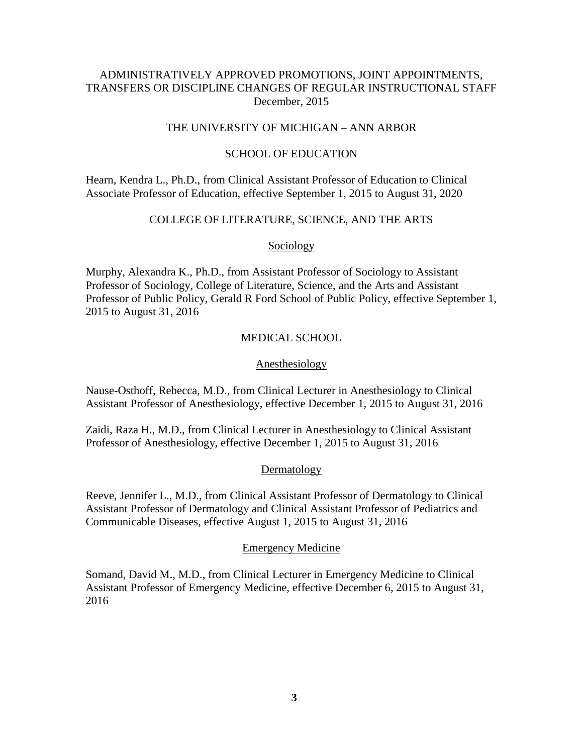## ADMINISTRATIVELY APPROVED PROMOTIONS, JOINT APPOINTMENTS, TRANSFERS OR DISCIPLINE CHANGES OF REGULAR INSTRUCTIONAL STAFF December, 2015

## THE UNIVERSITY OF MICHIGAN – ANN ARBOR

## SCHOOL OF EDUCATION

Hearn, Kendra L., Ph.D., from Clinical Assistant Professor of Education to Clinical Associate Professor of Education, effective September 1, 2015 to August 31, 2020

## COLLEGE OF LITERATURE, SCIENCE, AND THE ARTS

**Sociology** 

Murphy, Alexandra K., Ph.D., from Assistant Professor of Sociology to Assistant Professor of Sociology, College of Literature, Science, and the Arts and Assistant Professor of Public Policy, Gerald R Ford School of Public Policy, effective September 1, 2015 to August 31, 2016

## MEDICAL SCHOOL

## Anesthesiology

Nause-Osthoff, Rebecca, M.D., from Clinical Lecturer in Anesthesiology to Clinical Assistant Professor of Anesthesiology, effective December 1, 2015 to August 31, 2016

Zaidi, Raza H., M.D., from Clinical Lecturer in Anesthesiology to Clinical Assistant Professor of Anesthesiology, effective December 1, 2015 to August 31, 2016

## Dermatology

Reeve, Jennifer L., M.D., from Clinical Assistant Professor of Dermatology to Clinical Assistant Professor of Dermatology and Clinical Assistant Professor of Pediatrics and Communicable Diseases, effective August 1, 2015 to August 31, 2016

## Emergency Medicine

Somand, David M., M.D., from Clinical Lecturer in Emergency Medicine to Clinical Assistant Professor of Emergency Medicine, effective December 6, 2015 to August 31, 2016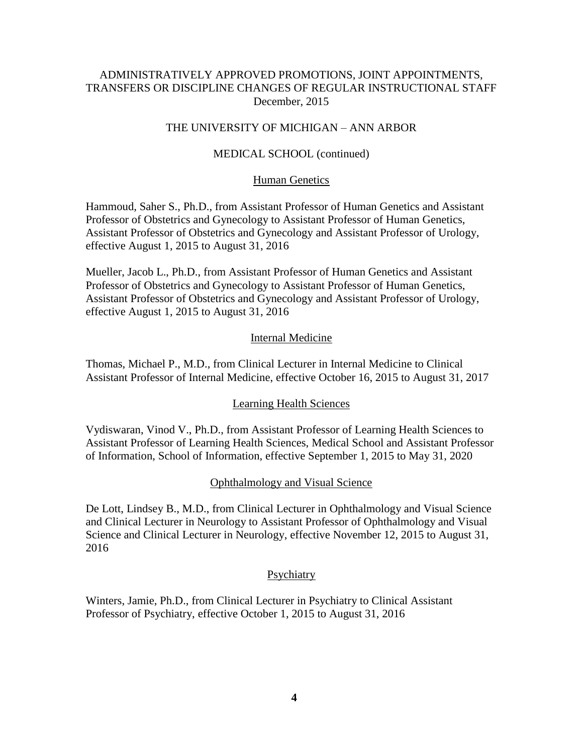## ADMINISTRATIVELY APPROVED PROMOTIONS, JOINT APPOINTMENTS, TRANSFERS OR DISCIPLINE CHANGES OF REGULAR INSTRUCTIONAL STAFF December, 2015

## THE UNIVERSITY OF MICHIGAN – ANN ARBOR

## MEDICAL SCHOOL (continued)

## Human Genetics

Hammoud, Saher S., Ph.D., from Assistant Professor of Human Genetics and Assistant Professor of Obstetrics and Gynecology to Assistant Professor of Human Genetics, Assistant Professor of Obstetrics and Gynecology and Assistant Professor of Urology, effective August 1, 2015 to August 31, 2016

Mueller, Jacob L., Ph.D., from Assistant Professor of Human Genetics and Assistant Professor of Obstetrics and Gynecology to Assistant Professor of Human Genetics, Assistant Professor of Obstetrics and Gynecology and Assistant Professor of Urology, effective August 1, 2015 to August 31, 2016

### Internal Medicine

Thomas, Michael P., M.D., from Clinical Lecturer in Internal Medicine to Clinical Assistant Professor of Internal Medicine, effective October 16, 2015 to August 31, 2017

## Learning Health Sciences

Vydiswaran, Vinod V., Ph.D., from Assistant Professor of Learning Health Sciences to Assistant Professor of Learning Health Sciences, Medical School and Assistant Professor of Information, School of Information, effective September 1, 2015 to May 31, 2020

### Ophthalmology and Visual Science

De Lott, Lindsey B., M.D., from Clinical Lecturer in Ophthalmology and Visual Science and Clinical Lecturer in Neurology to Assistant Professor of Ophthalmology and Visual Science and Clinical Lecturer in Neurology, effective November 12, 2015 to August 31, 2016

#### **Psychiatry**

Winters, Jamie, Ph.D., from Clinical Lecturer in Psychiatry to Clinical Assistant Professor of Psychiatry, effective October 1, 2015 to August 31, 2016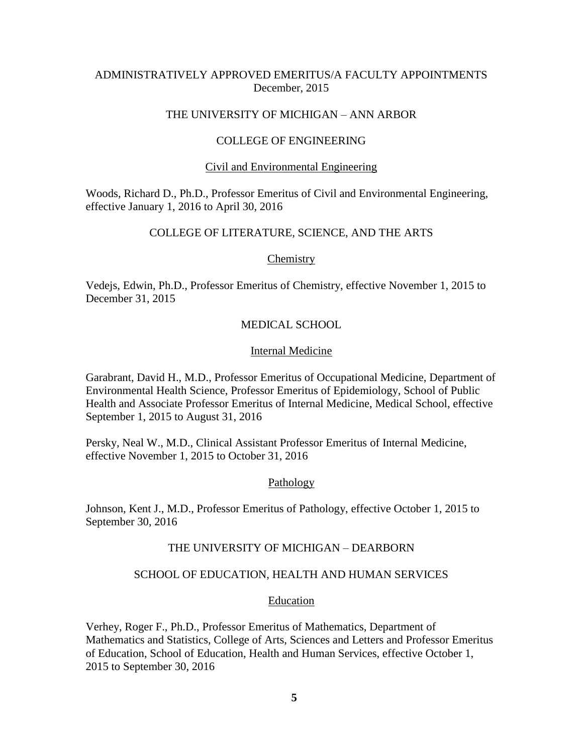## ADMINISTRATIVELY APPROVED EMERITUS/A FACULTY APPOINTMENTS December, 2015

## THE UNIVERSITY OF MICHIGAN – ANN ARBOR

## COLLEGE OF ENGINEERING

## Civil and Environmental Engineering

Woods, Richard D., Ph.D., Professor Emeritus of Civil and Environmental Engineering, effective January 1, 2016 to April 30, 2016

## COLLEGE OF LITERATURE, SCIENCE, AND THE ARTS

### **Chemistry**

Vedejs, Edwin, Ph.D., Professor Emeritus of Chemistry, effective November 1, 2015 to December 31, 2015

## MEDICAL SCHOOL

### Internal Medicine

Garabrant, David H., M.D., Professor Emeritus of Occupational Medicine, Department of Environmental Health Science, Professor Emeritus of Epidemiology, School of Public Health and Associate Professor Emeritus of Internal Medicine, Medical School, effective September 1, 2015 to August 31, 2016

Persky, Neal W., M.D., Clinical Assistant Professor Emeritus of Internal Medicine, effective November 1, 2015 to October 31, 2016

## Pathology

Johnson, Kent J., M.D., Professor Emeritus of Pathology, effective October 1, 2015 to September 30, 2016

## THE UNIVERSITY OF MICHIGAN – DEARBORN

## SCHOOL OF EDUCATION, HEALTH AND HUMAN SERVICES

#### Education

Verhey, Roger F., Ph.D., Professor Emeritus of Mathematics, Department of Mathematics and Statistics, College of Arts, Sciences and Letters and Professor Emeritus of Education, School of Education, Health and Human Services, effective October 1, 2015 to September 30, 2016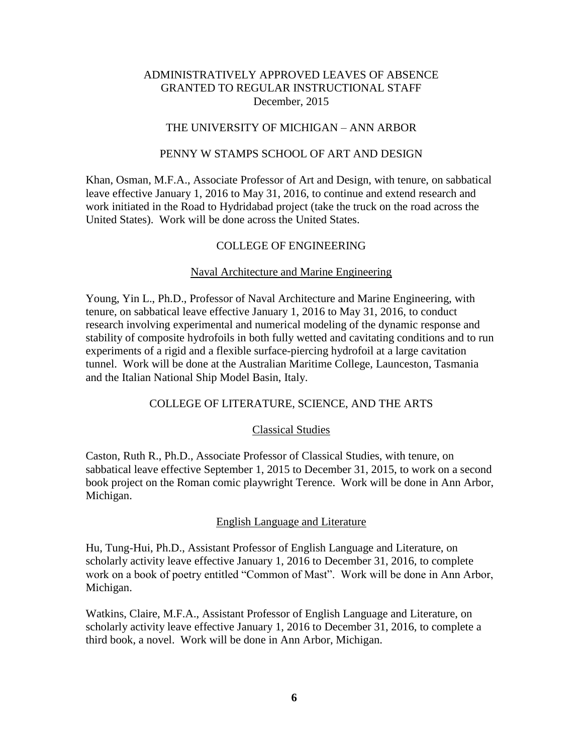## THE UNIVERSITY OF MICHIGAN – ANN ARBOR

## PENNY W STAMPS SCHOOL OF ART AND DESIGN

Khan, Osman, M.F.A., Associate Professor of Art and Design, with tenure, on sabbatical leave effective January 1, 2016 to May 31, 2016, to continue and extend research and work initiated in the Road to Hydridabad project (take the truck on the road across the United States). Work will be done across the United States.

## COLLEGE OF ENGINEERING

## Naval Architecture and Marine Engineering

Young, Yin L., Ph.D., Professor of Naval Architecture and Marine Engineering, with tenure, on sabbatical leave effective January 1, 2016 to May 31, 2016, to conduct research involving experimental and numerical modeling of the dynamic response and stability of composite hydrofoils in both fully wetted and cavitating conditions and to run experiments of a rigid and a flexible surface-piercing hydrofoil at a large cavitation tunnel. Work will be done at the Australian Maritime College, Launceston, Tasmania and the Italian National Ship Model Basin, Italy.

## COLLEGE OF LITERATURE, SCIENCE, AND THE ARTS

## Classical Studies

Caston, Ruth R., Ph.D., Associate Professor of Classical Studies, with tenure, on sabbatical leave effective September 1, 2015 to December 31, 2015, to work on a second book project on the Roman comic playwright Terence. Work will be done in Ann Arbor, Michigan.

#### English Language and Literature

Hu, Tung-Hui, Ph.D., Assistant Professor of English Language and Literature, on scholarly activity leave effective January 1, 2016 to December 31, 2016, to complete work on a book of poetry entitled "Common of Mast". Work will be done in Ann Arbor, Michigan.

Watkins, Claire, M.F.A., Assistant Professor of English Language and Literature, on scholarly activity leave effective January 1, 2016 to December 31, 2016, to complete a third book, a novel. Work will be done in Ann Arbor, Michigan.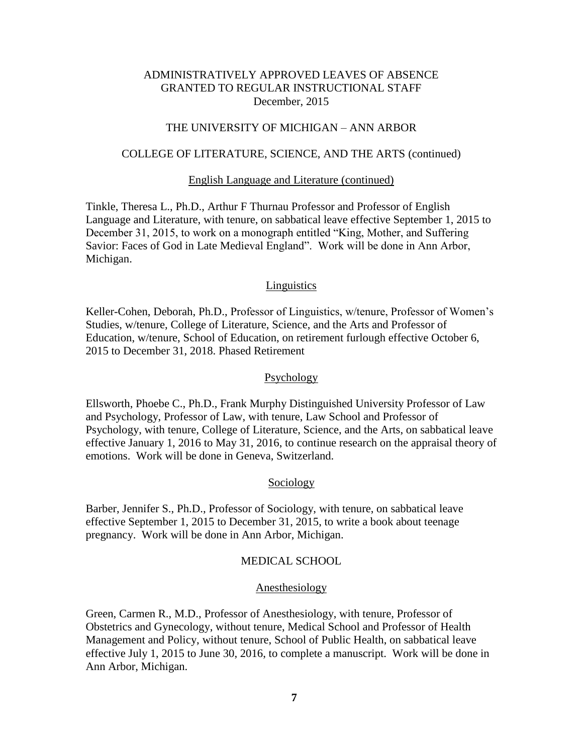## THE UNIVERSITY OF MICHIGAN – ANN ARBOR

## COLLEGE OF LITERATURE, SCIENCE, AND THE ARTS (continued)

#### English Language and Literature (continued)

Tinkle, Theresa L., Ph.D., Arthur F Thurnau Professor and Professor of English Language and Literature, with tenure, on sabbatical leave effective September 1, 2015 to December 31, 2015, to work on a monograph entitled "King, Mother, and Suffering Savior: Faces of God in Late Medieval England". Work will be done in Ann Arbor, Michigan.

#### **Linguistics**

Keller-Cohen, Deborah, Ph.D., Professor of Linguistics, w/tenure, Professor of Women's Studies, w/tenure, College of Literature, Science, and the Arts and Professor of Education, w/tenure, School of Education, on retirement furlough effective October 6, 2015 to December 31, 2018. Phased Retirement

#### Psychology

Ellsworth, Phoebe C., Ph.D., Frank Murphy Distinguished University Professor of Law and Psychology, Professor of Law, with tenure, Law School and Professor of Psychology, with tenure, College of Literature, Science, and the Arts, on sabbatical leave effective January 1, 2016 to May 31, 2016, to continue research on the appraisal theory of emotions. Work will be done in Geneva, Switzerland.

### Sociology

Barber, Jennifer S., Ph.D., Professor of Sociology, with tenure, on sabbatical leave effective September 1, 2015 to December 31, 2015, to write a book about teenage pregnancy. Work will be done in Ann Arbor, Michigan.

#### MEDICAL SCHOOL

#### Anesthesiology

Green, Carmen R., M.D., Professor of Anesthesiology, with tenure, Professor of Obstetrics and Gynecology, without tenure, Medical School and Professor of Health Management and Policy, without tenure, School of Public Health, on sabbatical leave effective July 1, 2015 to June 30, 2016, to complete a manuscript. Work will be done in Ann Arbor, Michigan.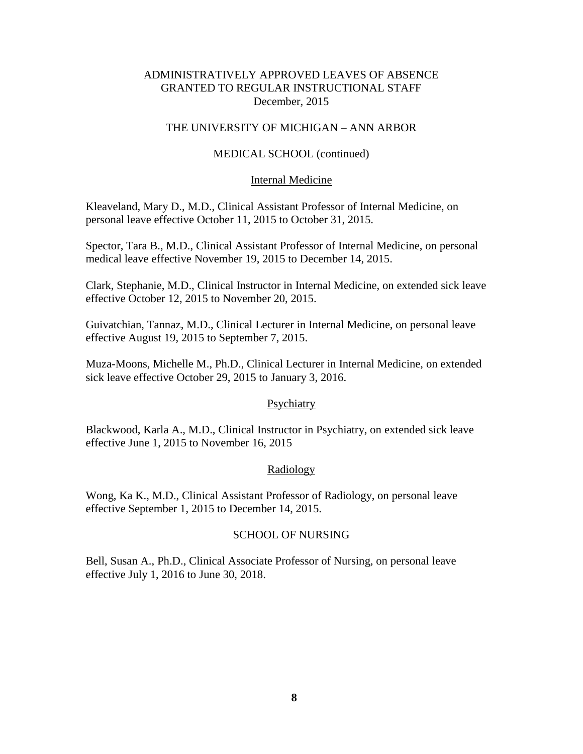## THE UNIVERSITY OF MICHIGAN – ANN ARBOR

## MEDICAL SCHOOL (continued)

## Internal Medicine

Kleaveland, Mary D., M.D., Clinical Assistant Professor of Internal Medicine, on personal leave effective October 11, 2015 to October 31, 2015.

Spector, Tara B., M.D., Clinical Assistant Professor of Internal Medicine, on personal medical leave effective November 19, 2015 to December 14, 2015.

Clark, Stephanie, M.D., Clinical Instructor in Internal Medicine, on extended sick leave effective October 12, 2015 to November 20, 2015.

Guivatchian, Tannaz, M.D., Clinical Lecturer in Internal Medicine, on personal leave effective August 19, 2015 to September 7, 2015.

Muza-Moons, Michelle M., Ph.D., Clinical Lecturer in Internal Medicine, on extended sick leave effective October 29, 2015 to January 3, 2016.

## Psychiatry

Blackwood, Karla A., M.D., Clinical Instructor in Psychiatry, on extended sick leave effective June 1, 2015 to November 16, 2015

## Radiology

Wong, Ka K., M.D., Clinical Assistant Professor of Radiology, on personal leave effective September 1, 2015 to December 14, 2015.

## SCHOOL OF NURSING

Bell, Susan A., Ph.D., Clinical Associate Professor of Nursing, on personal leave effective July 1, 2016 to June 30, 2018.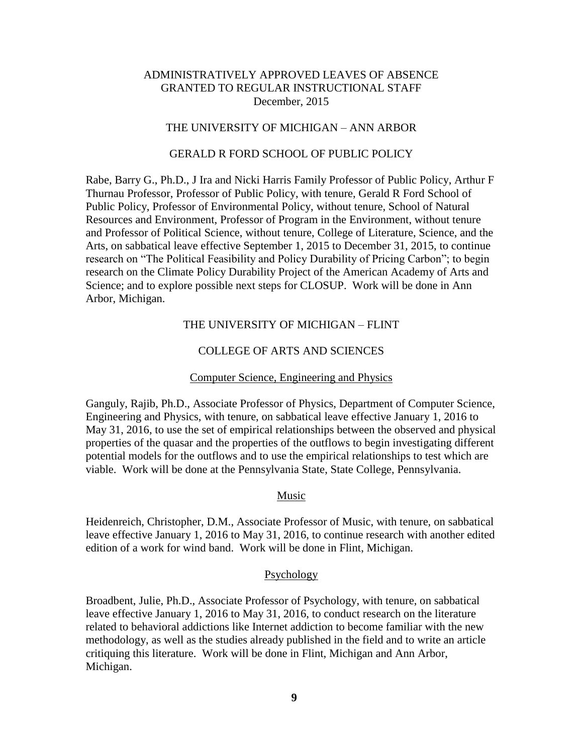## THE UNIVERSITY OF MICHIGAN – ANN ARBOR

## GERALD R FORD SCHOOL OF PUBLIC POLICY

Rabe, Barry G., Ph.D., J Ira and Nicki Harris Family Professor of Public Policy, Arthur F Thurnau Professor, Professor of Public Policy, with tenure, Gerald R Ford School of Public Policy, Professor of Environmental Policy, without tenure, School of Natural Resources and Environment, Professor of Program in the Environment, without tenure and Professor of Political Science, without tenure, College of Literature, Science, and the Arts, on sabbatical leave effective September 1, 2015 to December 31, 2015, to continue research on "The Political Feasibility and Policy Durability of Pricing Carbon"; to begin research on the Climate Policy Durability Project of the American Academy of Arts and Science; and to explore possible next steps for CLOSUP. Work will be done in Ann Arbor, Michigan.

## THE UNIVERSITY OF MICHIGAN – FLINT

## COLLEGE OF ARTS AND SCIENCES

### Computer Science, Engineering and Physics

Ganguly, Rajib, Ph.D., Associate Professor of Physics, Department of Computer Science, Engineering and Physics, with tenure, on sabbatical leave effective January 1, 2016 to May 31, 2016, to use the set of empirical relationships between the observed and physical properties of the quasar and the properties of the outflows to begin investigating different potential models for the outflows and to use the empirical relationships to test which are viable. Work will be done at the Pennsylvania State, State College, Pennsylvania.

### Music

Heidenreich, Christopher, D.M., Associate Professor of Music, with tenure, on sabbatical leave effective January 1, 2016 to May 31, 2016, to continue research with another edited edition of a work for wind band. Work will be done in Flint, Michigan.

#### Psychology

Broadbent, Julie, Ph.D., Associate Professor of Psychology, with tenure, on sabbatical leave effective January 1, 2016 to May 31, 2016, to conduct research on the literature related to behavioral addictions like Internet addiction to become familiar with the new methodology, as well as the studies already published in the field and to write an article critiquing this literature. Work will be done in Flint, Michigan and Ann Arbor, Michigan.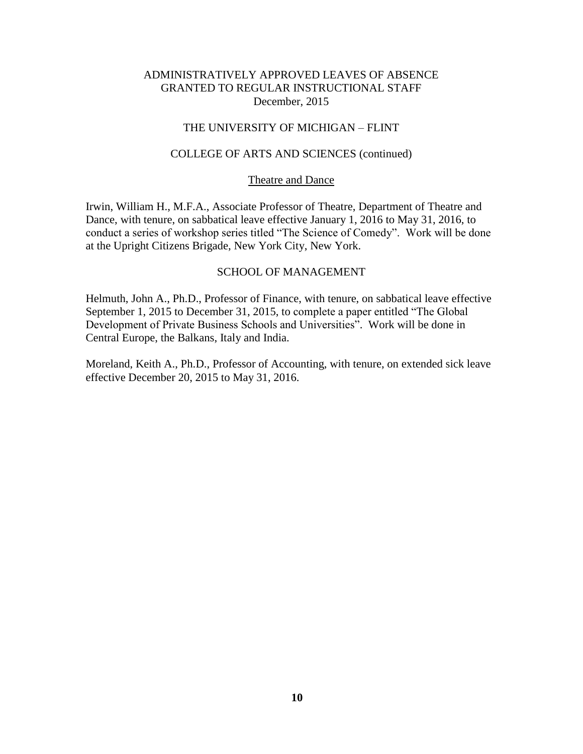## THE UNIVERSITY OF MICHIGAN – FLINT

### COLLEGE OF ARTS AND SCIENCES (continued)

### Theatre and Dance

Irwin, William H., M.F.A., Associate Professor of Theatre, Department of Theatre and Dance, with tenure, on sabbatical leave effective January 1, 2016 to May 31, 2016, to conduct a series of workshop series titled "The Science of Comedy". Work will be done at the Upright Citizens Brigade, New York City, New York.

### SCHOOL OF MANAGEMENT

Helmuth, John A., Ph.D., Professor of Finance, with tenure, on sabbatical leave effective September 1, 2015 to December 31, 2015, to complete a paper entitled "The Global Development of Private Business Schools and Universities". Work will be done in Central Europe, the Balkans, Italy and India.

Moreland, Keith A., Ph.D., Professor of Accounting, with tenure, on extended sick leave effective December 20, 2015 to May 31, 2016.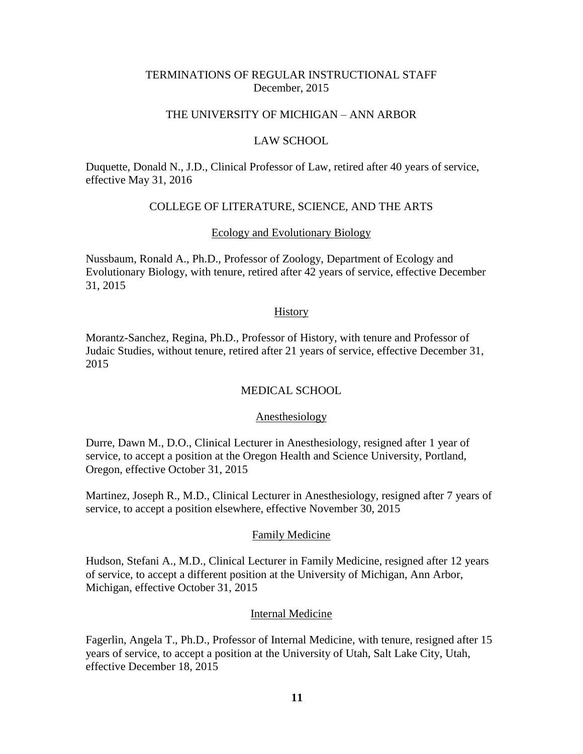## TERMINATIONS OF REGULAR INSTRUCTIONAL STAFF December, 2015

## THE UNIVERSITY OF MICHIGAN – ANN ARBOR

### LAW SCHOOL

Duquette, Donald N., J.D., Clinical Professor of Law, retired after 40 years of service, effective May 31, 2016

## COLLEGE OF LITERATURE, SCIENCE, AND THE ARTS

## Ecology and Evolutionary Biology

Nussbaum, Ronald A., Ph.D., Professor of Zoology, Department of Ecology and Evolutionary Biology, with tenure, retired after 42 years of service, effective December 31, 2015

#### **History**

Morantz-Sanchez, Regina, Ph.D., Professor of History, with tenure and Professor of Judaic Studies, without tenure, retired after 21 years of service, effective December 31, 2015

### MEDICAL SCHOOL

#### Anesthesiology

Durre, Dawn M., D.O., Clinical Lecturer in Anesthesiology, resigned after 1 year of service, to accept a position at the Oregon Health and Science University, Portland, Oregon, effective October 31, 2015

Martinez, Joseph R., M.D., Clinical Lecturer in Anesthesiology, resigned after 7 years of service, to accept a position elsewhere, effective November 30, 2015

#### Family Medicine

Hudson, Stefani A., M.D., Clinical Lecturer in Family Medicine, resigned after 12 years of service, to accept a different position at the University of Michigan, Ann Arbor, Michigan, effective October 31, 2015

### Internal Medicine

Fagerlin, Angela T., Ph.D., Professor of Internal Medicine, with tenure, resigned after 15 years of service, to accept a position at the University of Utah, Salt Lake City, Utah, effective December 18, 2015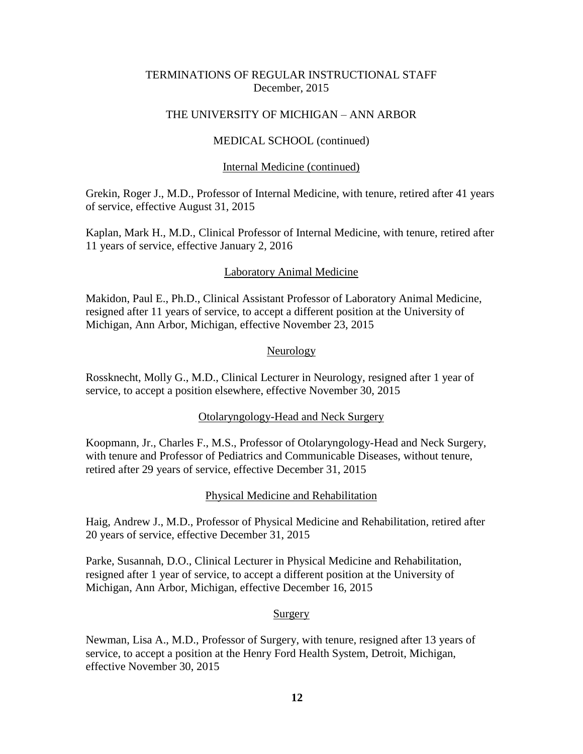## TERMINATIONS OF REGULAR INSTRUCTIONAL STAFF December, 2015

## THE UNIVERSITY OF MICHIGAN – ANN ARBOR

## MEDICAL SCHOOL (continued)

## Internal Medicine (continued)

Grekin, Roger J., M.D., Professor of Internal Medicine, with tenure, retired after 41 years of service, effective August 31, 2015

Kaplan, Mark H., M.D., Clinical Professor of Internal Medicine, with tenure, retired after 11 years of service, effective January 2, 2016

## Laboratory Animal Medicine

Makidon, Paul E., Ph.D., Clinical Assistant Professor of Laboratory Animal Medicine, resigned after 11 years of service, to accept a different position at the University of Michigan, Ann Arbor, Michigan, effective November 23, 2015

## Neurology

Rossknecht, Molly G., M.D., Clinical Lecturer in Neurology, resigned after 1 year of service, to accept a position elsewhere, effective November 30, 2015

## Otolaryngology-Head and Neck Surgery

Koopmann, Jr., Charles F., M.S., Professor of Otolaryngology-Head and Neck Surgery, with tenure and Professor of Pediatrics and Communicable Diseases, without tenure, retired after 29 years of service, effective December 31, 2015

## Physical Medicine and Rehabilitation

Haig, Andrew J., M.D., Professor of Physical Medicine and Rehabilitation, retired after 20 years of service, effective December 31, 2015

Parke, Susannah, D.O., Clinical Lecturer in Physical Medicine and Rehabilitation, resigned after 1 year of service, to accept a different position at the University of Michigan, Ann Arbor, Michigan, effective December 16, 2015

## Surgery

Newman, Lisa A., M.D., Professor of Surgery, with tenure, resigned after 13 years of service, to accept a position at the Henry Ford Health System, Detroit, Michigan, effective November 30, 2015